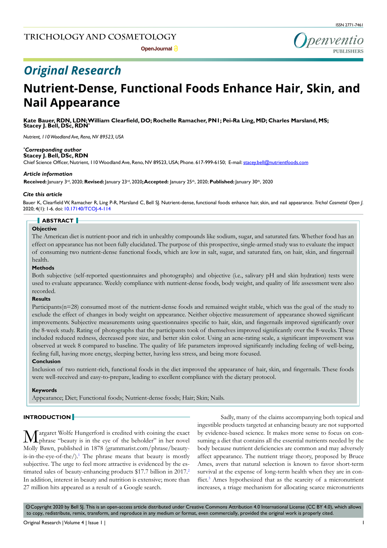penventio

## **Open Journal a**

# *Original Research*

# **Nutrient-Dense, Functional Foods Enhance Hair, Skin, and Nail Appearance**

**Kate Bauer, RDN, LDN; William Clearfield, DO; Rochelle Ramacher, PN1; Pei-Ra Ling, MD; Charles Marsland, MS; Stacey J. Bell, DSc, RDN\***

*Nutrient, 110 Woodland Ave, Reno, NV 89523, USA*

## *\* Corresponding author*

**Stacey J. Bell, DSc, RDN**

Chief Science Officer, Nutrient, 110 Woodland Ave, Reno, NV 89523, USA; Phone. 617-999-6150; E-mail: stacey.bell@nutrientfoods.com

## *Article information*

**Received:** January 3rd, 2020; **Revised:** January 23rd, 2020**; Accepted:** January 25th, 2020; **Published:** January 30th, 2020

## *Cite this article*

Bauer K, Clearfield W, Ramacher R, Ling P-R, Marsland C, Bell SJ. Nutrient-dense, functional foods enhance hair, skin, and nail appearance. *Trichol Cosmetol Open J.* 2020; 4(1): 1-6. doi: [10.17140/TCOJ-4-114](http://dx.doi.org/10.17140/TCOJ-4-114)

## **ABSTRACT**

### **Objective**

The American diet is nutrient-poor and rich in unhealthy compounds like sodium, sugar, and saturated fats. Whether food has an effect on appearance has not been fully elucidated. The purpose of this prospective, single-armed study was to evaluate the impact of consuming two nutrient-dense functional foods, which are low in salt, sugar, and saturated fats, on hair, skin, and fingernail health.

# **Methods**

Both subjective (self-reported questionnaires and photographs) and objective (i.e., salivary pH and skin hydration) tests were used to evaluate appearance. Weekly compliance with nutrient-dense foods, body weight, and quality of life assessment were also recorded.

# **Results**

Participants(n=28) consumed most of the nutrient-dense foods and remained weight stable, which was the goal of the study to exclude the effect of changes in body weight on appearance. Neither objective measurement of appearance showed significant improvements. Subjective measurements using questionnaires specific to hair, skin, and fingernails improved significantly over the 8-week study. Rating of photographs that the participants took of themselves improved significantly over the 8-weeks. These included reduced redness, decreased pore size, and better skin color. Using an acne-rating scale, a significant improvement was observed at week 8 compared to baseline. The quality of life parameters improved significantly including feeling of well-being, feeling full, having more energy, sleeping better, having less stress, and being more focused.

## **Conclusion**

Inclusion of two nutrient-rich, functional foods in the diet improved the appearance of hair, skin, and fingernails. These foods were well-received and easy-to-prepare, leading to excellent compliance with the dietary protocol.

#### **Keywords**

Appearance; Diet; Functional foods; Nutrient-dense foods; Hair; Skin; Nails.

# **INTRODUCTION**

Margaret Wolfe Hungerford is credited with coining the exact phrase "beauty is in the eye of the beholder" in her novel Molly Bawn, published in 1878 (grammarist.com/phrase/beautyis-in-the-eye-of-the $/$ ).<sup>1</sup> The phrase means that beauty is mostly subjective. The urge to feel more attractive is evidenced by the estimated sales of beauty-enhancing products \$17.7 billion in 2017.<sup>2</sup> In addition, interest in beauty and nutrition is extensive; more than 27 million hits appeared as a result of a Google search.

Sadly, many of the claims accompanying both topical and ingestible products targeted at enhancing beauty are not supported by evidence-based science. It makes more sense to focus on consuming a diet that contains all the essential nutrients needed by the body because nutrient deficiencies are common and may adversely affect appearance. The nutrient triage theory, proposed by Bruce Ames, avers that natural selection is known to favor short-term survival at the expense of long-term health when they are in con-flict.<sup>[3](#page-5-2)</sup> Ames hypothesized that as the scarcity of a micronutrient increases, a triage mechanism for allocating scarce micronutrients

 $\circledcirc$ Copyright 2020 by Bell SJ. This is an open-access article distributed under Creative Commons Attribution 4.0 International License (CC BY 4.0), which allows to copy, redistribute, remix, transform, and reproduce in any medium or format, even commercially, provided the original work is properly cited.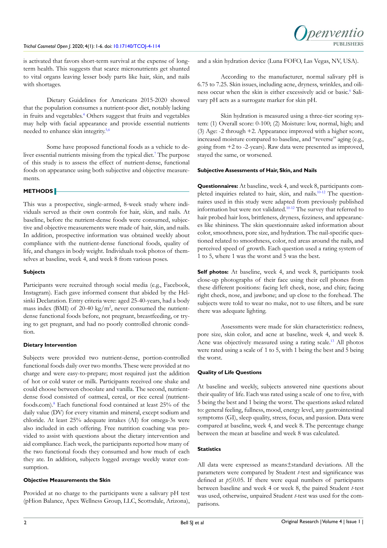is activated that favors short-term survival at the expense of longterm health. This suggests that scarce micronutrients get shunted to vital organs leaving lesser body parts like hair, skin, and nails with shortages.

Dietary Guidelines for Americans 2015-2020 showed that the population consumes a nutrient-poor diet, notably lacking in fruits and vegetables.<sup>[4](#page-5-3)</sup> Others suggest that fruits and vegetables may help with facial appearance and provide essential nutrients needed to enhance skin integrity[.5,6](#page-5-4)

Some have proposed functional foods as a vehicle to deliver essential nutrients missing from the typical diet.<sup>7</sup> The purpose of this study is to assess the effect of nutrient-dense, functional foods on appearance using both subjective and objective measurements.

# **METHODS**

This was a prospective, single-armed, 8-week study where individuals served as their own controls for hair, skin, and nails. At baseline, before the nutrient-dense foods were consumed, subjective and objective measurements were made of hair, skin, and nails. In addition, prospective information was obtained weekly about compliance with the nutrient-dense functional foods, quality of life, and changes in body weight. Individuals took photos of themselves at baseline, week 4, and week 8 from various poses.

# **Subjects**

Participants were recruited through social media (e.g., Facebook, Instagram). Each gave informed consent that abided by the Helsinki Declaration. Entry criteria were: aged 25-40-years, had a body mass index (BMI) of 20-40 kg/m<sup>2</sup>, never consumed the nutrientdense functional foods before, not pregnant, breastfeeding, or trying to get pregnant, and had no poorly controlled chronic condition.

# **Dietary Intervention**

Subjects were provided two nutrient-dense, portion-controlled functional foods daily over two months. These were provided at no charge and were easy-to-prepare; most required just the addition of hot or cold water or milk. Participants received one shake and could choose between chocolate and vanilla. The second, nutrientdense food consisted of oatmeal, cereal, or rice cereal (nutrientfoods.com).[8](#page-5-6) Each functional food contained at least 25% of the daily value (DV) for every vitamin and mineral, except sodium and chloride. At least 25% adequate intakes (AI) for omega-3s were also included in each offering. Free nutrition coaching was provided to assist with questions about the dietary intervention and aid compliance. Each week, the participants reported how many of the two functional foods they consumed and how much of each they ate. In addition, subjects logged average weekly water consumption.

# **Objective Measurements the Skin**

Provided at no charge to the participants were a salivary pH test (pHion Balance, Apex Wellness Group, LLC, Scottsdale, Arizona),

and a skin hydration device (Luna FOFO, Las Vegas, NV, USA).

According to the manufacturer, normal salivary pH is 6.75 to 7.25. Skin issues, including acne, dryness, wrinkles, and oiliness occur when the skin is either excessively acid or basic.<sup>9</sup> Salivary pH acts as a surrogate marker for skin pH.

Skin hydration is measured using a three-tier scoring system: (1) Overall score: 0-100; (2) Moisture: low, normal, high; and (3) Age: -2 through +2. Appearance improved with a higher score, increased moisture compared to baseline, and "reverse" aging (e.g., going from +2 to -2-years). Raw data were presented as improved, stayed the same, or worsened.

# **Subjective Assessments of Hair, Skin, and Nails**

**Questionnaires:** At baseline, week 4, and week 8, participants completed inquiries related to hair, skin, and nails.[10-12](#page-5-8) The questionnaires used in this study were adapted from previously published information but were not validated.[10-12](#page-5-8) The survey that referred to hair probed hair loss, brittleness, dryness, fizziness, and appearances like shininess. The skin questionnaire asked information about color, smoothness, pore size, and hydration. The nail-specific questioned related to smoothness, color, red areas around the nails, and perceived speed of growth. Each question used a rating system of 1 to 5, where 1 was the worst and 5 was the best.

**Self photos:** At baseline, week 4, and week 8, participants took close-up photographs of their face using their cell phones from these different positions: facing left cheek, nose, and chin; facing right check, nose, and jawbone; and up close to the forehead. The subjects were told to wear no make, not to use filters, and be sure there was adequate lighting.

Assessments were made for skin characteristics: redness, pore size, skin color, and acne at baseline, week 4, and week 8. Acne was objectively measured using a rating scale.<sup>[13](#page-5-9)</sup> All photos were rated using a scale of 1 to 5, with 1 being the best and 5 being the worst.

# **Quality of Life Questions**

At baseline and weekly, subjects answered nine questions about their quality of life. Each was rated using a scale of one to five, with 5 being the best and 1 being the worst. The questions asked related to: general feeling, fullness, mood, energy level, any gastrointestinal symptoms (GI), sleep quality, stress, focus, and passion. Data were compared at baseline, week 4, and week 8. The percentage change between the mean at baseline and week 8 was calculated.

# **Statistics**

All data were expressed as means±standard deviations. All the parameters were compared by Student *t*-test and significance was defined at *p*≤0.05. If there were equal numbers of participants between baseline and week 4 or week 8, the paired Student *t*-test was used, otherwise, unpaired Student *t*-test was used for the comparisons.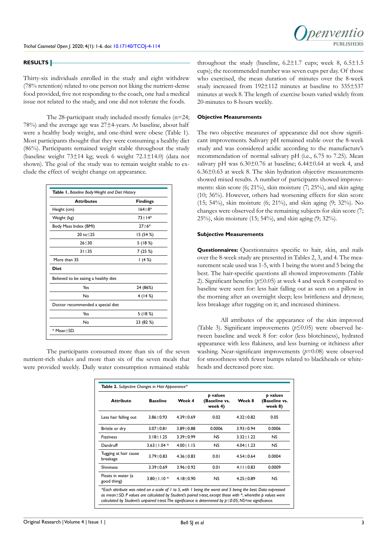

#### **RESULTS**

Thirty-six individuals enrolled in the study and eight withdrew (78% retention) related to one person not liking the nutrient-dense food provided, five not responding to the coach, one had a medical issue not related to the study, and one did not tolerate the foods.

The 28-participant study included mostly females (n=24; 78%) and the average age was 27±4-years. At baseline, about half were a healthy body weight, and one-third were obese (Table 1). Most participants thought that they were consuming a healthy diet (86%). Participants remained weight stable throughout the study (baseline weight 73±14 kg; week 6 weight 72.1±14.0) (data not shown). The goal of the study was to remain weight stable to exclude the effect of weight change on appearance.

| <b>Attributes</b>                    | <b>Findings</b> |
|--------------------------------------|-----------------|
| Height (cm)                          | $164 + 8*$      |
| Weight (kg)                          | $73+14*$        |
| Body Mass Index (BMI)                | $27 + 6*$       |
| $20 \text{ to} < 25$                 | 15 (54 %)       |
| 26 < 30                              | 5(18%)          |
| $31 \leq 35$                         | 7(25%)          |
| More than 35                         | 1(4%)           |
| <b>Diet</b>                          |                 |
| Believed to be eating a healthy diet |                 |
| Yes                                  | 24 (86%)        |
| No                                   | 4(14%)          |
| Doctor recommended a special diet    |                 |
| Yes                                  | 5(18%)          |
| No                                   | 23 (82 %)       |

The participants consumed more than six of the seven nutrient-rich shakes and more than six of the seven meals that were provided weekly. Daily water consumption remained stable throughout the study (baseline,  $6.2\pm1.7$  cups; week 8,  $6.5\pm1.5$ cups); the recommended number was seven cups per day. Of those who exercised, the mean duration of minutes over the 8-week study increased from 192±112 minutes at baseline to 335±537 minutes at week 8. The length of exercise bouts varied widely from 20-minutes to 8-hours weekly.

## **Objective Measurements**

The two objective measures of appearance did not show significant improvements. Salivary pH remained stable over the 8-week study and was considered acidic according to the manufacture's recommendation of normal salivary pH (i.e., 6.75 to 7.25). Mean salivary pH was  $6.30\pm0.76$  at baseline;  $6.44\pm0.64$  at week 4, and 6.36±0.63 at week 8. The skin hydration objective measurements showed mixed results. A number of participants showed improvements: skin score (6; 21%), skin moisture (7; 25%), and skin aging (10; 36%). However, others had worsening effects for skin score (15; 54%), skin moisture (6; 21%), and skin aging (9; 32%). No changes were observed for the remaining subjects for skin score (7; 25%), skin moisture (15; 54%), and skin aging (9; 32%).

## **Subjective Measurements**

**Questionnaires:** Questionnaires specific to hair, skin, and nails over the 8-week study are presented in Tables 2, 3, and 4. The measurement scale used was 1-5, with 1 being the worst and 5 being the best. The hair-specific questions all showed improvements (Table 2). Significant benefits (*p*≤0.05) at week 4 and week 8 compared to baseline were seen for: less hair falling out as seen on a pillow in the morning after an overnight sleep; less brittleness and dryness; less breakage after tugging on it; and increased shininess.

All attributes of the appearance of the skin improved (Table 3). Significant improvements (*p*≤0.05) were observed between baseline and week 8 for: color (less blotchiness), hydrated appearance with less flakiness, and less burning or itchiness after washing. Near-significant improvements (*p*=0.08) were observed for smoothness with fewer bumps related to blackheads or whiteheads and decreased pore size.

| <b>Attribute</b>                  | <b>Baseline</b>   | Week 4          | p values<br>(Baseline vs.<br>week 4) | Week 8          | p values<br>(Baseline vs.<br>week 8) |
|-----------------------------------|-------------------|-----------------|--------------------------------------|-----------------|--------------------------------------|
| Less hair falling out             | $3.86 \pm 0.93$   | $4.39 \pm 0.69$ | 0.02                                 | $4.32 \pm 0.82$ | 0.05                                 |
| Brittle or dry                    | $3.07 \pm 0.81$   | $3.89 \pm 0.88$ | 0.0006                               | $3.93 \pm 0.94$ | 0.0006                               |
| <b>Fizziness</b>                  | $3.18 \pm 1.25$   | $3.39 \pm 0.99$ | <b>NS</b>                            | $3.32 \pm 1.22$ | NS.                                  |
| Dandruff                          | $3.63 \pm 1.04$ ^ | $4.00 + 1.15$   | <b>NS</b>                            | $4.04 + 1.23$   | NS.                                  |
| Tugging at hair cause<br>breakage | $3.79 \pm 0.83$   | $4.36 \pm 0.83$ | 0.01                                 | $4.54 \pm 0.64$ | 0.0004                               |
| <b>Shininess</b>                  | $3.39 \pm 0.69$   | $3.96 \pm 0.92$ | 0.01                                 | 4.11 $\pm$ 0.83 | 0.0009                               |
| Floats in water (a<br>good thing) | $3.80 \pm 1.10$ ^ | $4.18 + 0.90$   | NS.                                  | $4.25 \pm 0.89$ | NS.                                  |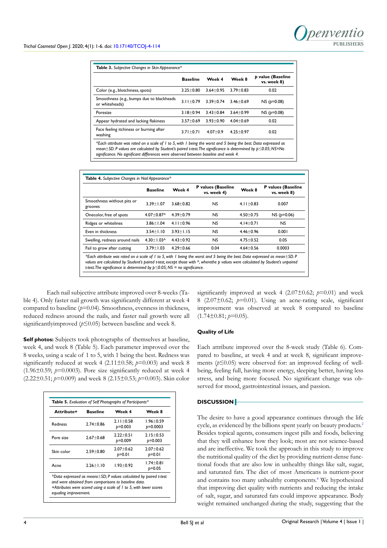|                                                                                                                                                                                                                                                                                                                                    | <b>Baseline</b> | Week 4          | Week 8        | p value (Baseline<br>vs. week 8) |
|------------------------------------------------------------------------------------------------------------------------------------------------------------------------------------------------------------------------------------------------------------------------------------------------------------------------------------|-----------------|-----------------|---------------|----------------------------------|
| Color (e.g., blotchiness, spots)                                                                                                                                                                                                                                                                                                   | $3.25 \pm 0.80$ | $3.64 \pm 0.95$ | $3.79 + 0.83$ | 0.02                             |
| Smoothness (e.g., bumps due to blackheads<br>or whiteheads)                                                                                                                                                                                                                                                                        | $3.11 + 0.79$   | $3.39 + 0.74$   | $3.46 + 0.69$ | $NS (p=0.08)$                    |
| Poresize                                                                                                                                                                                                                                                                                                                           | $3.18 + 0.94$   | $3.43 + 0.84$   | $3.64 + 0.99$ | $NS (p=0.08)$                    |
| Appear hydrated and lacking flakiness                                                                                                                                                                                                                                                                                              | $3.57 \pm 0.69$ | $3.93 \pm 0.90$ | $4.04 + 0.69$ | 0.02                             |
| Face feeling itchiness or burning after<br>washing                                                                                                                                                                                                                                                                                 | $3.71 + 0.71$   | $4.07 + 0.9$    | $4.25 + 0.97$ | 0.02                             |
| *Each attribute was rated on a scale of I to 5, with I being the worst and 5 being the best. Data expressed as<br>mean $\pm$ SD. P values are calculated by Student's paired t-test. The significance is determined by $p \le 0.05$ ; NS=No<br>significance. No significant differences were observed between baseline and week 4. |                 |                 |               |                                  |

|                                                                                                                                                                                                                                                                                                                                                       | <b>Baseline</b> | Week 4        | P values (Baseline<br>vs. week 4) | Week 8        | P values (Baseline<br>vs. week 8) |
|-------------------------------------------------------------------------------------------------------------------------------------------------------------------------------------------------------------------------------------------------------------------------------------------------------------------------------------------------------|-----------------|---------------|-----------------------------------|---------------|-----------------------------------|
| Smoothness without pits or<br>grooves                                                                                                                                                                                                                                                                                                                 | $3.39 + 1.07$   | $3.68 + 0.82$ | NS.                               | $4.11 + 0.83$ | 0.007                             |
| Onecolor, free of spots                                                                                                                                                                                                                                                                                                                               | $4.07 + 0.87$   | $4.39 + 0.79$ | <b>NS</b>                         | $4.50 + 0.75$ | $NS (p=0.06)$                     |
| Ridges or whitelines                                                                                                                                                                                                                                                                                                                                  | $3.86 + 1.04$   | $4.11 + 0.96$ | <b>NS</b>                         | $4.14+0.71$   | <b>NS</b>                         |
| Even in thickness                                                                                                                                                                                                                                                                                                                                     | $3.54 + 1.10$   | $3.93 + 1.15$ | <b>NS</b>                         | $4.46 + 0.96$ | 0.001                             |
| Swelling, redness around nails                                                                                                                                                                                                                                                                                                                        | $4.30 + 1.03^$  | $4.43 + 0.92$ | <b>NS</b>                         | $4.75 + 0.52$ | 0.05                              |
| Fail to grow after cutting                                                                                                                                                                                                                                                                                                                            | $3.79 + 1.03$   | $4.29 + 0.66$ | 0.04                              | $4.64 + 0.56$ | 0.0003                            |
| *Each attribute was rated on a scale of 1 to 5, with 1 being the worst and 5 being the best. Data expressed as mean±SD. P<br>values are calculated by Student's paired t-test, except those with $\wedge$ , wherethe p values were calculated by Student's unpaired<br>t-test. The significance is determined by $p \le 0.05$ ; NS = no significance. |                 |               |                                   |               |                                   |

Each nail subjective attribute improved over 8-weeks (Table 4). Only faster nail growth was significantly different at week 4 compared to baseline (*p*=0.04). Smoothness, evenness in thickness, reduced redness around the nails, and faster nail growth were all significantlyimproved (*p*≤0.05) between baseline and week 8.

**Self photos:** Subjects took photographs of themselves at baseline, week 4, and week 8 (Table 5). Each parameter improved over the 8 weeks, using a scale of 1 to 5, with 1 being the best. Redness was significantly reduced at week 4 ( $2.11\pm0.58$ ;  $p=0.003$ ) and week 8  $(1.96\pm0.59; p=0.0003)$ . Pore size significantly reduced at week 4 (2.22±0.51; *p*=0.009) and week 8 (2.15±0.53; *p*=0.003). Skin color

| Attribute+            | <b>Baseline</b> | Week 4                                                                                                                                                                                                | Week 8        |
|-----------------------|-----------------|-------------------------------------------------------------------------------------------------------------------------------------------------------------------------------------------------------|---------------|
| Redness               | $2.74 + 0.86$   | $2.11 + 0.58$                                                                                                                                                                                         | $1.96 + 0.59$ |
|                       |                 | p=0.003                                                                                                                                                                                               | $p=0.0003$    |
| Pore size             | $2.67 + 0.68$   | $2.22 + 0.51$                                                                                                                                                                                         | $2.15+0.53$   |
|                       |                 | b=0.009                                                                                                                                                                                               | $p=0.003$     |
|                       |                 | $2.07 + 0.62$                                                                                                                                                                                         | $2.07 + 0.62$ |
| Skin color            | $2.59 \pm 0.80$ | $p=0.01$                                                                                                                                                                                              | $p=0.01$      |
|                       | $2.26 + 1.10$   | $1.93 + 0.92$                                                                                                                                                                                         | $1.74 + 0.81$ |
| Acne                  |                 |                                                                                                                                                                                                       | p=0.05        |
| equaling improvement. |                 | *Data expressed as means $\pm$ SD; P values calculated by paired t-test<br>and were obtained from comparisons to baseline data.<br>+Attributes were scored using a scale of 1 to 5, with lower scores |               |

significantly improved at week 4 (2.07 $\pm$ 0.62;  $p=0.01$ ) and week 8 (2.07±0.62; *p*=0.01). Using an acne-rating scale, significant improvement was observed at week 8 compared to baseline  $(1.74\pm0.81; p=0.05)$ .

## **Quality of Life**

Each attribute improved over the 8-week study (Table 6). Compared to baseline, at week 4 and at week 8, significant improvements (*p*≤0.05) were observed for: an improved feeling of wellbeing, feeling full, having more energy, sleeping better, having less stress, and being more focused. No significant change was observed for mood, gastrointestinal issues, and passion.

## **DISCUSSION**

The desire to have a good appearance continues through the life cycle, as evidenced by the billions spent yearly on beauty products.<sup>[2](#page-5-1)</sup> Besides topical agents, consumers ingest pills and foods, believing that they will enhance how they look; most are not science-based and are ineffective. We took the approach in this study to improve the nutritional quality of the diet by providing nutrient-dense functional foods that are also low in unhealthy things like salt, sugar, and saturated fats. The diet of most Americans is nutrient-poor and contains too many unhealthy components.<sup>4</sup> We hypothesized that improving diet quality with nutrients and reducing the intake of salt, sugar, and saturated fats could improve appearance. Body weight remained unchanged during the study, suggesting that the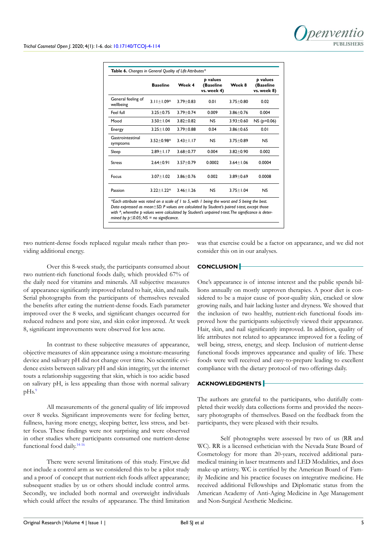|                                 | <b>Baseline</b>       | Week 4        | p values<br>(Baseline<br>vs. week 4) | Week 8          | p values<br>(Baseline<br>vs. week 8) |
|---------------------------------|-----------------------|---------------|--------------------------------------|-----------------|--------------------------------------|
| General feeling of<br>wellbeing | $3.11 + 1.090$        | $3.79 + 0.83$ | 0.01                                 | $3.75 + 0.80$   | 0.02                                 |
| Feel full                       | $3.25 + 0.75$         | $3.79 + 0.74$ | 0.009                                | $3.86 + 0.76$   | 0.004                                |
| Mood                            | $3.50 + 1.04$         | $3.82 + 0.82$ | NS                                   | $3.93 \pm 0.60$ | $NS (p=0.06)$                        |
| Energy                          | $3.25 \pm 1.00$       | $3.79 + 0.88$ | 0.04                                 | $3.86 + 0.65$   | 0.01                                 |
| Gastrointestinal<br>symptoms    | $3.52 + 0.98^{\circ}$ | $3.43 + 1.17$ | NS                                   | $3.75 \pm 0.89$ | <b>NS</b>                            |
| Sleep                           | $2.89 \pm 1.17$       | $3.68 + 0.77$ | 0.004                                | $3.82 \pm 0.90$ | 0.002                                |
| <b>Stress</b>                   | $2.64 + 0.91$         | $3.57 + 0.79$ | 0.0002                               | $3.64 + 1.06$   | 0.0004                               |
| Focus                           | $3.07 + 1.02$         | $3.86 + 0.76$ | 0.002                                | $3.89 + 0.69$   | 0.0008                               |
| Passion                         | $3.22 \pm 1.22$ ^     | $3.46 + 1.26$ | NS                                   | $3.75 + 1.04$   | NS                                   |

*Data expressed as mean*±*SD. P values are calculated by Student's paired t-test, except those with ^, wherethe p values were calculated by Student's unpaired t-test. The significance is determined by p≤0.05; NS = no significance.*

two nutrient-dense foods replaced regular meals rather than providing additional energy.

Over this 8-week study, the participants consumed about two nutrient-rich functional foods daily, which provided 67% of the daily need for vitamins and minerals. All subjective measures of appearance significantly improved related to hair, skin, and nails. Serial photographs from the participants of themselves revealed the benefits after eating the nutrient-dense foods. Each parameter improved over the 8 weeks, and significant changes occurred for reduced redness and pore size, and skin color improved. At week 8, significant improvements were observed for less acne.

In contrast to these subjective measures of appearance, objective measures of skin appearance using a moisture-measuring device and salivary pH did not change over time. No scientific evidence exists between salivary pH and skin integrity, yet the internet touts a relationship suggesting that skin, which is too acidic based on salivary pH, is less appealing than those with normal salivary pHs.<sup>9</sup>

All measurements of the general quality of life improved over 8 weeks. Significant improvements were for feeling better, fullness, having more energy, sleeping better, less stress, and better focus. These findings were not surprising and were observed in other studies where participants consumed one nutrient-dense functional food daily.[14-16](#page-5-10)

There were several limitations of this study. First,we did not include a control arm as we considered this to be a pilot study and a proof of concept that nutrient-rich foods affect appearance; subsequent studies by us or others should include control arms. Secondly, we included both normal and overweight individuals which could affect the results of appearance. The third limitation

was that exercise could be a factor on appearance, and we did not consider this on in our analyses.

# **CONCLUSION**

One's appearance is of intense interest and the public spends billions annually on mostly unproven therapies. A poor diet is considered to be a major cause of poor-quality skin, cracked or slow growing nails, and hair lacking luster and dryness. We showed that the inclusion of two healthy, nutrient-rich functional foods improved how the participants subjectively viewed their appearance. Hair, skin, and nail significantly improved. In addition, quality of life attributes not related to appearance improved for a feeling of well being, stress, energy, and sleep. Inclusion of nutrient-dense functional foods improves appearance and quality of life. These foods were well received and easy-to-prepare leading to excellent compliance with the dietary protocol of two offerings daily.

# **ACKNOWLEDGMENTS**

The authors are grateful to the participants, who dutifully completed their weekly data collections forms and provided the necessary photographs of themselves. Based on the feedback from the participants, they were pleased with their results.

Self photographs were assessed by two of us (RR and WC). RR is a licensed esthetician with the Nevada State Board of Cosmetology for more than 20-years, received additional paramedical training in laser treatments and LED Modalities, and does make-up artistry. WC is certified by the American Board of Family Medicine and his practice focuses on integrative medicine. He received additional Fellowships and Diplomatic status from the American Academy of Anti-Aging Medicine in Age Management and Non-Surgical Aesthetic Medicine.